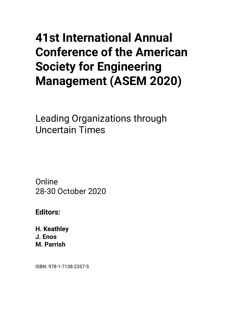## **41st International Annual Conference of the American Society for Engineering Management (ASEM 2020)**

Leading Organizations through Uncertain Times

**Online** 28-30 October 2020

**Editors:**

**H. Keathley J. Enos M. Parrish**

ISBN: 978-1-7138-2357-5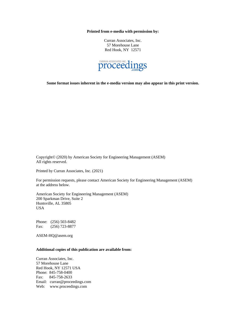**Printed from e-media with permission by:**

Curran Associates, Inc. 57 Morehouse Lane Red Hook, NY 12571



**Some format issues inherent in the e-media version may also appear in this print version.**

Copyright© (2020) by American Society for Engineering Management (ASEM) All rights reserved.

Printed by Curran Associates, Inc. (2021)

For permission requests, please contact American Society for Engineering Management (ASEM) at the address below.

American Society for Engineering Management (ASEM) 200 Sparkman Drive, Suite 2 Huntsville, AL 35805 USA

Phone: (256) 503-8482 Fax: (256) 723-8877

ASEM-HQ@asem.org

## **Additional copies of this publication are available from:**

Curran Associates, Inc. 57 Morehouse Lane Red Hook, NY 12571 USA Phone: 845-758-0400 Fax: 845-758-2633 Email: curran@proceedings.com Web: www.proceedings.com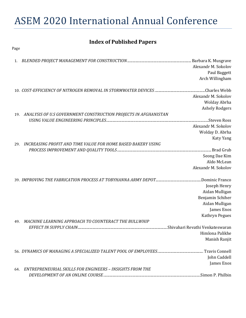## ASEM 2020 International Annual Conference

## **Index of Published Papers**

| Page |                                                                     |                       |
|------|---------------------------------------------------------------------|-----------------------|
| 1.   |                                                                     |                       |
|      |                                                                     | Alexandr M. Sokolov   |
|      |                                                                     | Paul Baggett          |
|      |                                                                     | Arch Willingham       |
|      |                                                                     |                       |
|      |                                                                     | Alexandr M. Sokolov   |
|      |                                                                     | Wolday Abrha          |
|      |                                                                     | <b>Ashely Rodgers</b> |
|      | 19. ANALYSIS OF U.S GOVERNMENT CONSTRUCTION PROJECTS IN AFGHANISTAN |                       |
|      |                                                                     |                       |
|      |                                                                     | Alexandr M. Sokolov   |
|      |                                                                     | Wolday D. Abrha       |
|      |                                                                     |                       |
| 29.  | INCREASING PROFIT AND TIME VALUE FOR HOME BASED BAKERY USING        | <b>Katy Yang</b>      |
|      |                                                                     |                       |
|      |                                                                     | Seong Dae Kim         |
|      |                                                                     | Aldo McLean           |
|      |                                                                     | Alexandr M. Sokolov   |
|      |                                                                     |                       |
|      |                                                                     |                       |
|      |                                                                     | Joseph Henry          |
|      |                                                                     | Aidan Mulligan        |
|      |                                                                     | Benjamin Schiher      |
|      |                                                                     | Aidan Mulligan        |
|      |                                                                     | James Enos            |
|      |                                                                     | Kathryn Pegues        |
| 49.  | MACHINE LEARNING APPROACH TO COUNTERACT THE BULLWHIP                |                       |
|      |                                                                     |                       |
|      |                                                                     | Himlona Palikhe       |
|      |                                                                     | Manish Ranjit         |
|      |                                                                     |                       |
|      |                                                                     | John Caddell          |
|      |                                                                     | James Enos            |
|      | 64. ENTREPRENEURIAL SKILLS FOR ENGINEERS - INSIGHTS FROM THE        |                       |
|      |                                                                     |                       |
|      |                                                                     |                       |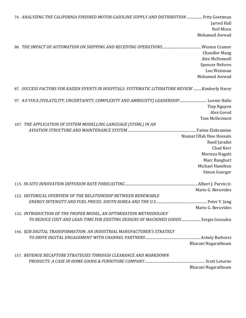| 74. ANALYZING THE CALIFORNIA FINISHED MOTOR GASOLINE SUPPLY AND DISTRIBUTION  Fritz Goettman     |                           |
|--------------------------------------------------------------------------------------------------|---------------------------|
|                                                                                                  | Jarred Hall               |
|                                                                                                  | Neil Misra                |
|                                                                                                  | Mohamed Awwad             |
|                                                                                                  |                           |
|                                                                                                  | <b>Chandler Mang</b>      |
|                                                                                                  | Alex McDonnell            |
|                                                                                                  | <b>Spencer Nefores</b>    |
|                                                                                                  | Lou Weisman               |
|                                                                                                  | Mohamed Awwad             |
| 87. SUCCESS FACTORS FOR KAIZEN EVENTS IN HOSPITALS: SYSTEMATIC LITERATURE REVIEW  Kimberly Harry |                           |
| 97. 4.0 VUCA (VOLATILITY, UNCERTAINTY, COMPLEXITY AND AMBIGUITY) LEADERSHIP Leonie Hallo         |                           |
|                                                                                                  | Tiep Nguyen               |
|                                                                                                  | Alex Gorod                |
|                                                                                                  | Tom McDermott             |
| 107. THE APPLICATION OF SYSTEM MODELLING LANGUAGE (SYSML) IN AN                                  |                           |
|                                                                                                  |                           |
|                                                                                                  | Niamat Ullah Ibne Hossain |
|                                                                                                  | Raed Jaradat              |
|                                                                                                  | Chad Kerr                 |
|                                                                                                  | Morteza Nagahi            |
|                                                                                                  | Marc Banghart             |
|                                                                                                  | Michael Hamilton          |
|                                                                                                  | Simon Goerger             |
|                                                                                                  |                           |
|                                                                                                  | Mario G. Beruvides        |
| 122. HISTORICAL OVERVIEW OF THE RELATIONSHIP BETWEEN RENEWABLE                                   |                           |
|                                                                                                  |                           |
|                                                                                                  | Mario G. Beruvides        |
| 132. INTRODUCTION OF THE PROPER MODEL, AN OPTIMIZATION METHODOLOGY                               |                           |
| TO REDUCE COST AND LEAD-TIME FOR EXISTING DESIGNS OF MACHINED GOODS Sergio Gonzalez              |                           |
| 146. B2B DIGITAL TRANSFORMATION: AN INDUSTRIAL MANUFACTURER'S STRATEGY                           |                           |
|                                                                                                  |                           |
|                                                                                                  | Bharani Nagarathnam       |
| 157. REVENUE RECAPTURE STRATEGIES THROUGH CLEARANCE AND MARKDOWN                                 |                           |
|                                                                                                  |                           |
|                                                                                                  | Bharani Nagarathnam       |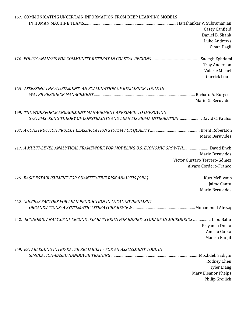| 167. COMMUNICATING UNCERTAIN INFORMATION FROM DEEP LEARNING MODELS                         |                              |
|--------------------------------------------------------------------------------------------|------------------------------|
|                                                                                            |                              |
|                                                                                            | Casey Canfield               |
|                                                                                            | Daniel B. Shank              |
|                                                                                            | Luke Andrews                 |
|                                                                                            | Cihan Dagli                  |
|                                                                                            |                              |
|                                                                                            | <b>Troy Anderson</b>         |
|                                                                                            | Valerie Michel               |
|                                                                                            | <b>Garrick Louis</b>         |
| 189. ASSESSING THE ASSESSMENT: AN EXAMINATION OF RESILIENCE TOOLS IN                       |                              |
|                                                                                            |                              |
|                                                                                            | Mario G. Beruvides           |
| 199. THE WORKFORCE ENGAGEMENT MANAGEMENT APPROACH TO IMPROVING                             |                              |
| SYSTEMS USING THEORY OF CONSTRAINTS AND LEAN SIX SIGMA INTEGRATIONDavid C. Paulus          |                              |
|                                                                                            |                              |
|                                                                                            | Mario Beruvides              |
| 217. A MULTI-LEVEL ANALYTICAL FRAMEWORK FOR MODELING U.S. ECONOMIC GROWTHDavid Enck        |                              |
|                                                                                            | Mario Beruvides              |
|                                                                                            | Victor Gustavo Tercero-Gómez |
|                                                                                            | Álvaro Cordero-Franco        |
|                                                                                            |                              |
|                                                                                            | Jaime Cantu                  |
|                                                                                            | Mario Beruvides              |
| 232. SUCCESS FACTORS FOR LEAN PRODUCTION IN LOCAL GOVERNMENT                               |                              |
|                                                                                            |                              |
| 242. ECONOMIC ANALYSIS OF SECOND USE BATTERIES FOR ENERGY STORAGE IN MICROGRIDS  Libu Babu |                              |
|                                                                                            | Priyanka Donta               |
|                                                                                            | Amrita Gupta                 |
|                                                                                            | Manish Ranjit                |
| 249. ESTABLISHING INTER-RATER RELIABILITY FOR AN ASSESSMENT TOOL IN                        |                              |
|                                                                                            |                              |
|                                                                                            | Rodney Chen                  |
|                                                                                            | <b>Tyler Liang</b>           |
|                                                                                            | Mary Eleanor Phelps          |
|                                                                                            | Philip Greilich              |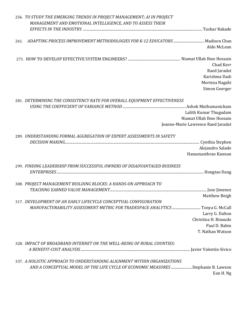| MANAGEMENT AND EMOTIONAL INTELLIGENCE, AND TO ASSESS THEIR                                       |  |
|--------------------------------------------------------------------------------------------------|--|
|                                                                                                  |  |
| ADAPTING PROCESS IMPROVEMENT METHODOLOGIES FOR K-12 EDUCATORS  Madison Chan<br>261.              |  |
| Aldo McLean                                                                                      |  |
| Chad Kerr                                                                                        |  |
| Raed Jaradat<br>Karishma Dadi                                                                    |  |
| Morteza Nagahi                                                                                   |  |
| Simon Goerger                                                                                    |  |
| 281. DETERMINING THE CONSISTENCY RATE FOR OVERALL EQUIPMENT EFFECTIVENESS                        |  |
|                                                                                                  |  |
| Lalith Kumar Thugudam                                                                            |  |
| Niamat Ullah Ibne Hossain                                                                        |  |
| Jeanne-Marie Lawrence Raed Jaradat                                                               |  |
| 289. UNDERSTANDING FORMAL AGGREGATION OF EXPERT ASSESSMENTS IN SAFETY                            |  |
| Alejandro Salado                                                                                 |  |
| Hanumanthrao Kannan                                                                              |  |
| 299. FINDING LEADERSHIP FROM SUCCESSFUL OWNERS OF DISADVANTAGED BUSINESS                         |  |
|                                                                                                  |  |
| 308. PROJECT MANAGEMENT BUILDING BLOCKS: A HANDS-ON APPROACH TO                                  |  |
|                                                                                                  |  |
| Matthew Beight (Matthew Beight) (Matthew Beight)                                                 |  |
| 317. DEVELOPMENT OF AN EARLY LIFECYCLE CONCEPTUAL CONFIGURATION                                  |  |
| MANUFACTURABILITY ASSESSMENT METRIC FOR TRADESPACE ANALYTICS  Tonya G. McCall<br>Larry G. Dalton |  |
| Christina H. Rinaudo                                                                             |  |
| Paul D. Babin                                                                                    |  |
| T. Nathan Watson                                                                                 |  |
| 328. IMPACT OF BROADBAND INTERNET ON THE WELL-BEING OF RURAL COUNTIES:                           |  |
|                                                                                                  |  |
| 337. A HOLISTIC APPROACH TO UNDERSTANDING ALIGNMENT WITHIN ORGANIZATIONS                         |  |
| AND A CONCEPTUAL MODEL OF THE LIFE CYCLE OF ECONOMIC MEASURES Stephanie B. Lawson<br>Ean H. Ng   |  |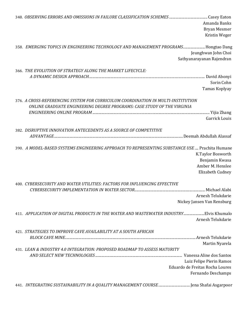|                                                                                                | Amanda Banks                    |
|------------------------------------------------------------------------------------------------|---------------------------------|
|                                                                                                | <b>Bryan Mesmer</b>             |
|                                                                                                | Kristin Weger                   |
| 358. EMERGING TOPICS IN ENGINEERING TECHNOLOGY AND MANAGEMENT PROGRAMS Hongtao Dang            |                                 |
|                                                                                                | Jeunghwan John Choi             |
|                                                                                                | Sathyanarayanan Rajendran       |
| 366. THE EVOLUTION OF STRATEGY ALONG THE MARKET LIFECYCLE:                                     |                                 |
|                                                                                                |                                 |
|                                                                                                | Sorin Cohn                      |
|                                                                                                | Tamas Koplyay                   |
| 376. A CROSS-REFERENCING SYSTEM FOR CURRICULUM COORDINATION IN MULTI-INSTITUTION               |                                 |
| ONLINE GRADUATE ENGINEERING DEGREE PROGRAMS: CASE STUDY OF THE VIRGINIA                        |                                 |
|                                                                                                |                                 |
|                                                                                                | <b>Garrick Louis</b>            |
| 382. DISRUPTIVE INNOVATION ANTECEDENTS AS A SOURCE OF COMPETITIVE                              |                                 |
|                                                                                                |                                 |
| 390. A MODEL-BASED SYSTEMS ENGINEERING APPROACH TO REPRESENTING SUBSTANCE USE  Prachita Humane |                                 |
|                                                                                                | K.Taylor Bosworth               |
|                                                                                                | Benjamin Kwasa                  |
|                                                                                                | Amber M. Henslee                |
|                                                                                                | Elizabeth Cudney                |
| 400. CYBERSECURITY AND WATER UTILITIES: FACTORS FOR INFLUENCING EFFECTIVE                      |                                 |
|                                                                                                |                                 |
|                                                                                                | Arnesh Telukdarie               |
|                                                                                                | Nickey Jansen Van Rensburg      |
| 411. APPLICATION OF DIGITAL PRODUCTS IN THE WATER AND WASTEWATER INDUSTRYElvis Khumalo         |                                 |
|                                                                                                | Arnesh Telukdarie               |
| 421. STRATEGIES TO IMPROVE CAVE AVAILABILITY AT A SOUTH AFRICAN                                |                                 |
|                                                                                                |                                 |
|                                                                                                | Martin Nyarela                  |
| 431. LEAN & INDUSTRY 4.0 INTEGRATION: PROPOSED ROADMAP TO ASSESS MATURITY                      |                                 |
|                                                                                                | Vanessa Aline dos Santos        |
|                                                                                                | Luiz Felipe Pierin Ramos        |
|                                                                                                | Eduardo de Freitas Rocha Loures |
|                                                                                                | Fernando Deschamps              |
|                                                                                                |                                 |
|                                                                                                |                                 |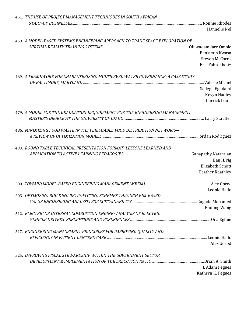| 451. THE USE OF PROJECT MANAGEMENT TECHNIQUES IN SOUTH AFRICAN                |                         |
|-------------------------------------------------------------------------------|-------------------------|
|                                                                               |                         |
|                                                                               | Hannelie Nel            |
|                                                                               |                         |
| 459. A MODEL-BASED SYSTEMS ENGINEERING APPROACH TO TRADE SPACE EXPLORATION OF |                         |
|                                                                               |                         |
|                                                                               |                         |
|                                                                               | Benjamin Kwasa          |
|                                                                               | Steven M. Corns         |
|                                                                               | Eric Fahrenholtz        |
|                                                                               |                         |
| 469. A FRAMEWORK FOR CHARACTERIZING MULTILEVEL WATER GOVERNANCE: A CASE STUDY |                         |
|                                                                               |                         |
|                                                                               | Sadegh Eghdami          |
|                                                                               | Kevyn Hadley            |
|                                                                               | <b>Garrick Louis</b>    |
|                                                                               |                         |
| 479. A MODEL FOR THE GRADUATION REQUIREMENT FOR THE ENGINEERING MANAGEMENT    |                         |
|                                                                               |                         |
|                                                                               |                         |
|                                                                               |                         |
| 486. MINIMIZING FOOD WASTE IN THE PERISHABLE FOOD DISTRIBUTION NETWORK-       |                         |
|                                                                               |                         |
|                                                                               |                         |
| 493. ROUND TABLE TECHNICAL PRESENTATION FORMAT: LESSONS LEARNED AND           |                         |
|                                                                               |                         |
|                                                                               | Ean H. Ng               |
|                                                                               | <b>Elizabeth Schott</b> |
|                                                                               | Heather Keathley        |
|                                                                               |                         |
|                                                                               |                         |
|                                                                               | Leonie Hallo            |
| 505. OPTIMIZING BUILDING RETROFITTING SCHEMES THROUGH BIM-BASED               |                         |
|                                                                               |                         |
|                                                                               |                         |
|                                                                               | <b>Endong Wang</b>      |
| 512. ELECTRIC OR INTERNAL COMBUSTION ENGINE? ANALYSIS OF ELECTRIC             |                         |
|                                                                               |                         |
|                                                                               |                         |
| 517. ENGINEERING MANAGEMENT PRINCIPLES FOR IMPROVING QUALITY AND              |                         |
|                                                                               |                         |
|                                                                               | Alex Gorod              |
|                                                                               |                         |
| 525. IMPROVING FISCAL STEWARDSHIP WITHIN THE GOVERNMENT SECTOR:               |                         |
|                                                                               |                         |
|                                                                               |                         |
|                                                                               | J. Adam Pegues          |
|                                                                               | Kathryn K. Pegues       |